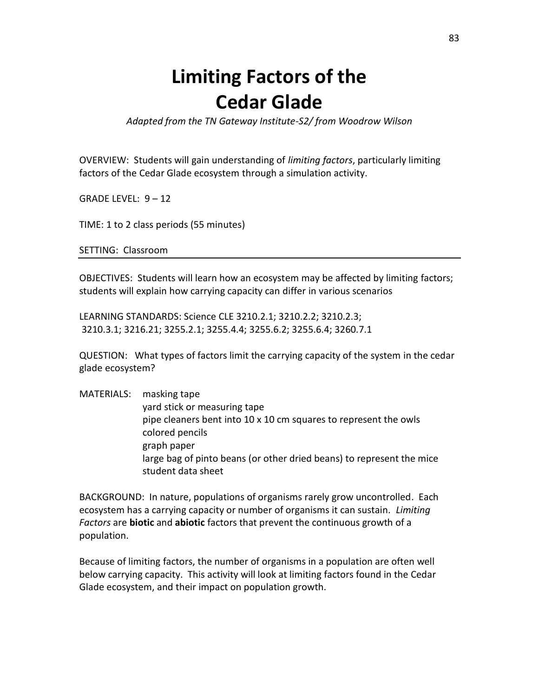## **Limiting Factors of the Cedar Glade**

*Adapted from the TN Gateway Institute-S2/ from Woodrow Wilson*

OVERVIEW: Students will gain understanding of *limiting factors*, particularly limiting factors of the Cedar Glade ecosystem through a simulation activity.

GRADE LEVEL: 9 – 12

TIME: 1 to 2 class periods (55 minutes)

SETTING: Classroom

OBJECTIVES: Students will learn how an ecosystem may be affected by limiting factors; students will explain how carrying capacity can differ in various scenarios

LEARNING STANDARDS: Science CLE 3210.2.1; 3210.2.2; 3210.2.3; 3210.3.1; 3216.21; 3255.2.1; 3255.4.4; 3255.6.2; 3255.6.4; 3260.7.1

QUESTION: What types of factors limit the carrying capacity of the system in the cedar glade ecosystem?

MATERIALS: masking tape yard stick or measuring tape pipe cleaners bent into 10 x 10 cm squares to represent the owls colored pencils graph paper large bag of pinto beans (or other dried beans) to represent the mice student data sheet

BACKGROUND: In nature, populations of organisms rarely grow uncontrolled. Each ecosystem has a carrying capacity or number of organisms it can sustain. *Limiting Factors* are **biotic** and **abiotic** factors that prevent the continuous growth of a population.

Because of limiting factors, the number of organisms in a population are often well below carrying capacity. This activity will look at limiting factors found in the Cedar Glade ecosystem, and their impact on population growth.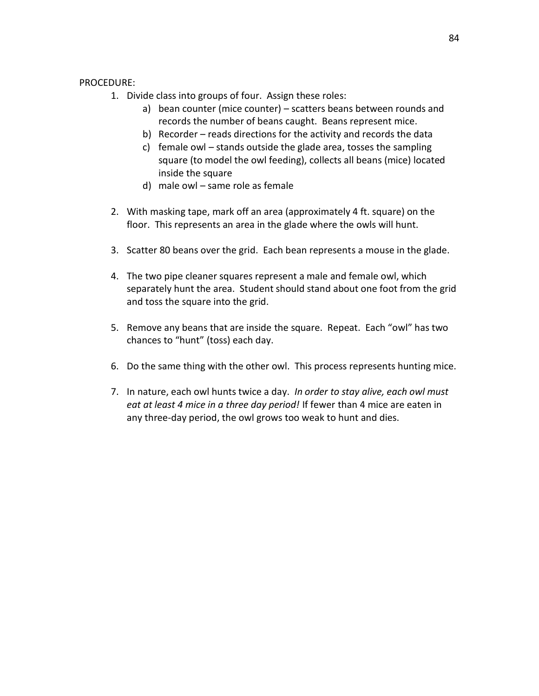## PROCEDURE:

- 1. Divide class into groups of four. Assign these roles:
	- a) bean counter (mice counter) scatters beans between rounds and records the number of beans caught. Beans represent mice.
	- b) Recorder reads directions for the activity and records the data
	- c) female owl stands outside the glade area, tosses the sampling square (to model the owl feeding), collects all beans (mice) located inside the square
	- d) male owl same role as female
- 2. With masking tape, mark off an area (approximately 4 ft. square) on the floor. This represents an area in the glade where the owls will hunt.
- 3. Scatter 80 beans over the grid. Each bean represents a mouse in the glade.
- 4. The two pipe cleaner squares represent a male and female owl, which separately hunt the area. Student should stand about one foot from the grid and toss the square into the grid.
- 5. Remove any beans that are inside the square. Repeat. Each "owl" has two chances to "hunt" (toss) each day.
- 6. Do the same thing with the other owl. This process represents hunting mice.
- 7. In nature, each owl hunts twice a day. *In order to stay alive, each owl must eat at least 4 mice in a three day period!* If fewer than 4 mice are eaten in any three-day period, the owl grows too weak to hunt and dies.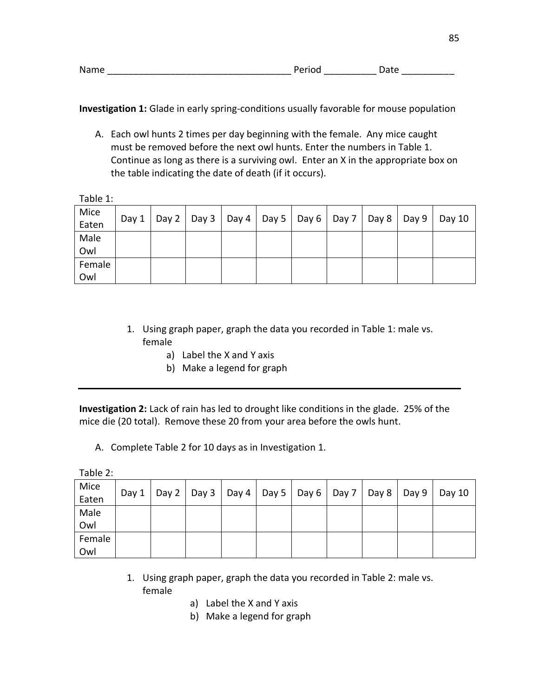| Name<br>. | ו זו חי⊨י | 4 I P |  |
|-----------|-----------|-------|--|
|           |           |       |  |

**Investigation 1:** Glade in early spring-conditions usually favorable for mouse population

A. Each owl hunts 2 times per day beginning with the female. Any mice caught must be removed before the next owl hunts. Enter the numbers in Table 1. Continue as long as there is a surviving owl. Enter an X in the appropriate box on the table indicating the date of death (if it occurs).

Table 1:

| Mice<br>Eaten | Day $1$ |  |  |  | Day 2   Day 3   Day 4   Day 5   Day 6   Day 7   Day 8   Day 9 | Day 10 |
|---------------|---------|--|--|--|---------------------------------------------------------------|--------|
| Male          |         |  |  |  |                                                               |        |
| Owl           |         |  |  |  |                                                               |        |
| Female        |         |  |  |  |                                                               |        |
| Owl           |         |  |  |  |                                                               |        |

- 1. Using graph paper, graph the data you recorded in Table 1: male vs. female
	- a) Label the X and Y axis
	- b) Make a legend for graph

**Investigation 2:** Lack of rain has led to drought like conditions in the glade. 25% of the mice die (20 total). Remove these 20 from your area before the owls hunt.

A. Complete Table 2 for 10 days as in Investigation 1.

Table 2:

| Mice<br>Eaten | Day 1 |  | Day 2   Day 3   Day 4   Day 5   Day 6   Day 7   Day 8 |  |  | Day $9 \mid$ Day 10 |
|---------------|-------|--|-------------------------------------------------------|--|--|---------------------|
| Male          |       |  |                                                       |  |  |                     |
| Owl           |       |  |                                                       |  |  |                     |
| Female        |       |  |                                                       |  |  |                     |
| Owl           |       |  |                                                       |  |  |                     |

- 1. Using graph paper, graph the data you recorded in Table 2: male vs. female
	- a) Label the X and Y axis
	- b) Make a legend for graph